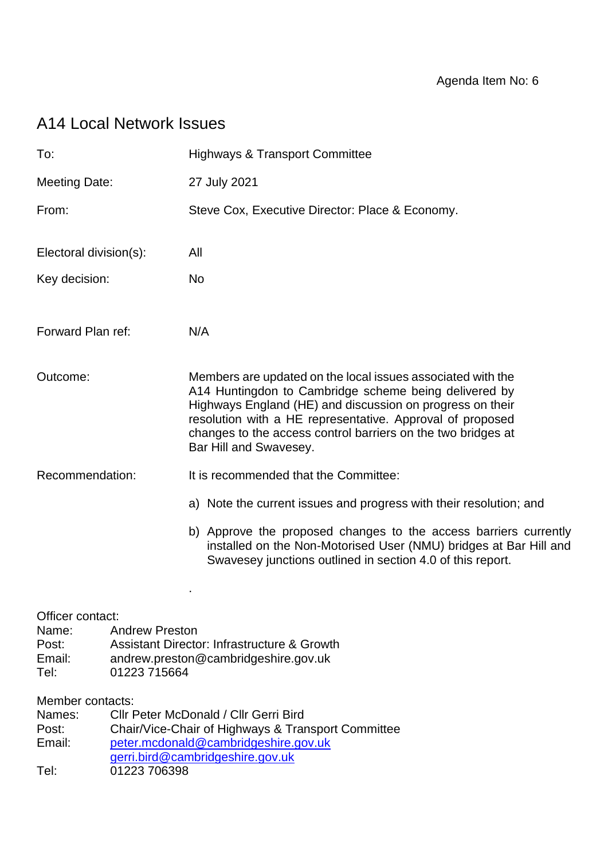# A14 Local Network Issues

| To:                                                                                                                                                                                                                                              |  | <b>Highways &amp; Transport Committee</b>                                                                                                                                                                                                                                                                                                |
|--------------------------------------------------------------------------------------------------------------------------------------------------------------------------------------------------------------------------------------------------|--|------------------------------------------------------------------------------------------------------------------------------------------------------------------------------------------------------------------------------------------------------------------------------------------------------------------------------------------|
| <b>Meeting Date:</b>                                                                                                                                                                                                                             |  | 27 July 2021                                                                                                                                                                                                                                                                                                                             |
| From:                                                                                                                                                                                                                                            |  | Steve Cox, Executive Director: Place & Economy.                                                                                                                                                                                                                                                                                          |
| Electoral division(s):                                                                                                                                                                                                                           |  | All                                                                                                                                                                                                                                                                                                                                      |
| Key decision:                                                                                                                                                                                                                                    |  | <b>No</b>                                                                                                                                                                                                                                                                                                                                |
| Forward Plan ref:                                                                                                                                                                                                                                |  | N/A                                                                                                                                                                                                                                                                                                                                      |
| Outcome:                                                                                                                                                                                                                                         |  | Members are updated on the local issues associated with the<br>A14 Huntingdon to Cambridge scheme being delivered by<br>Highways England (HE) and discussion on progress on their<br>resolution with a HE representative. Approval of proposed<br>changes to the access control barriers on the two bridges at<br>Bar Hill and Swavesey. |
| Recommendation:                                                                                                                                                                                                                                  |  | It is recommended that the Committee:                                                                                                                                                                                                                                                                                                    |
|                                                                                                                                                                                                                                                  |  | a) Note the current issues and progress with their resolution; and                                                                                                                                                                                                                                                                       |
|                                                                                                                                                                                                                                                  |  | b) Approve the proposed changes to the access barriers currently<br>installed on the Non-Motorised User (NMU) bridges at Bar Hill and<br>Swavesey junctions outlined in section 4.0 of this report.                                                                                                                                      |
| Officer contact:<br>Name:<br><b>Andrew Preston</b><br>Post:<br>Email:<br>Tel:<br>01223 715664                                                                                                                                                    |  | <b>Assistant Director: Infrastructure &amp; Growth</b><br>andrew.preston@cambridgeshire.gov.uk                                                                                                                                                                                                                                           |
| Member contacts:<br>Cllr Peter McDonald / Cllr Gerri Bird<br>Names:<br>Post:<br>Chair/Vice-Chair of Highways & Transport Committee<br>Email:<br>peter.mcdonald@cambridgeshire.gov.uk<br>gerri.bird@cambridgeshire.gov.uk<br>01223 706398<br>Tel: |  |                                                                                                                                                                                                                                                                                                                                          |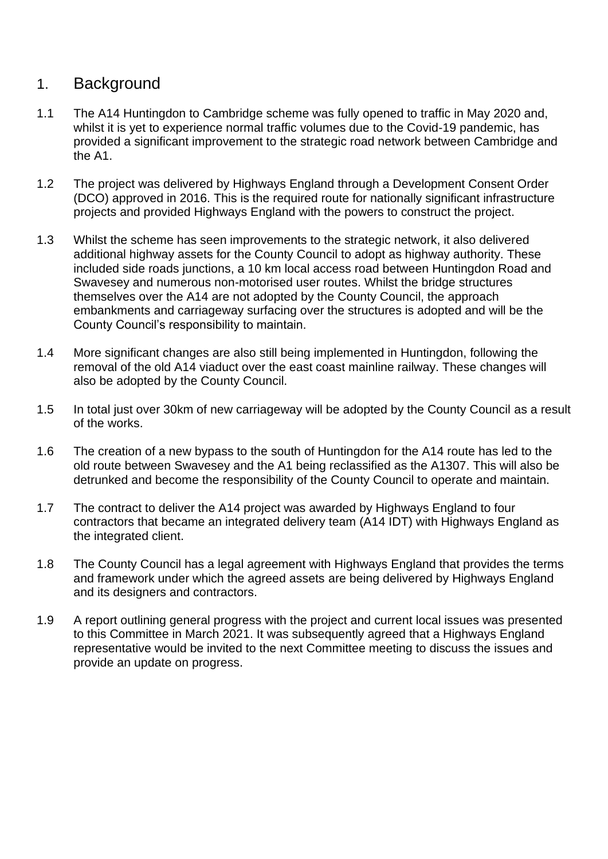# 1. Background

- 1.1 The A14 Huntingdon to Cambridge scheme was fully opened to traffic in May 2020 and, whilst it is yet to experience normal traffic volumes due to the Covid-19 pandemic, has provided a significant improvement to the strategic road network between Cambridge and the A1.
- 1.2 The project was delivered by Highways England through a Development Consent Order (DCO) approved in 2016. This is the required route for nationally significant infrastructure projects and provided Highways England with the powers to construct the project.
- 1.3 Whilst the scheme has seen improvements to the strategic network, it also delivered additional highway assets for the County Council to adopt as highway authority. These included side roads junctions, a 10 km local access road between Huntingdon Road and Swavesey and numerous non-motorised user routes. Whilst the bridge structures themselves over the A14 are not adopted by the County Council, the approach embankments and carriageway surfacing over the structures is adopted and will be the County Council's responsibility to maintain.
- 1.4 More significant changes are also still being implemented in Huntingdon, following the removal of the old A14 viaduct over the east coast mainline railway. These changes will also be adopted by the County Council.
- 1.5 In total just over 30km of new carriageway will be adopted by the County Council as a result of the works.
- 1.6 The creation of a new bypass to the south of Huntingdon for the A14 route has led to the old route between Swavesey and the A1 being reclassified as the A1307. This will also be detrunked and become the responsibility of the County Council to operate and maintain.
- 1.7 The contract to deliver the A14 project was awarded by Highways England to four contractors that became an integrated delivery team (A14 IDT) with Highways England as the integrated client.
- 1.8 The County Council has a legal agreement with Highways England that provides the terms and framework under which the agreed assets are being delivered by Highways England and its designers and contractors.
- 1.9 A report outlining general progress with the project and current local issues was presented to this Committee in March 2021. It was subsequently agreed that a Highways England representative would be invited to the next Committee meeting to discuss the issues and provide an update on progress.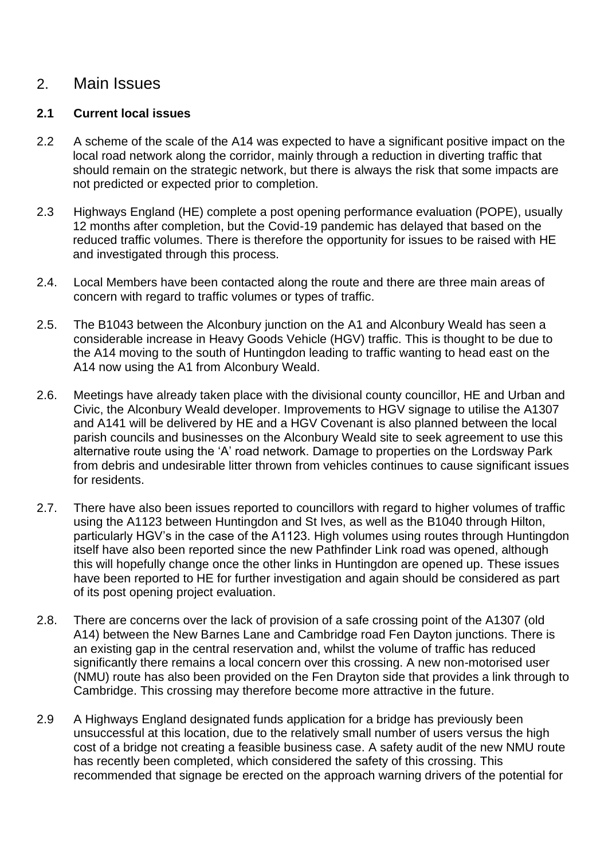# 2. Main Issues

### **2.1 Current local issues**

- 2.2 A scheme of the scale of the A14 was expected to have a significant positive impact on the local road network along the corridor, mainly through a reduction in diverting traffic that should remain on the strategic network, but there is always the risk that some impacts are not predicted or expected prior to completion.
- 2.3 Highways England (HE) complete a post opening performance evaluation (POPE), usually 12 months after completion, but the Covid-19 pandemic has delayed that based on the reduced traffic volumes. There is therefore the opportunity for issues to be raised with HE and investigated through this process.
- 2.4. Local Members have been contacted along the route and there are three main areas of concern with regard to traffic volumes or types of traffic.
- 2.5. The B1043 between the Alconbury junction on the A1 and Alconbury Weald has seen a considerable increase in Heavy Goods Vehicle (HGV) traffic. This is thought to be due to the A14 moving to the south of Huntingdon leading to traffic wanting to head east on the A14 now using the A1 from Alconbury Weald.
- 2.6. Meetings have already taken place with the divisional county councillor, HE and Urban and Civic, the Alconbury Weald developer. Improvements to HGV signage to utilise the A1307 and A141 will be delivered by HE and a HGV Covenant is also planned between the local parish councils and businesses on the Alconbury Weald site to seek agreement to use this alternative route using the 'A' road network. Damage to properties on the Lordsway Park from debris and undesirable litter thrown from vehicles continues to cause significant issues for residents.
- 2.7. There have also been issues reported to councillors with regard to higher volumes of traffic using the A1123 between Huntingdon and St Ives, as well as the B1040 through Hilton, particularly HGV's in the case of the A1123. High volumes using routes through Huntingdon itself have also been reported since the new Pathfinder Link road was opened, although this will hopefully change once the other links in Huntingdon are opened up. These issues have been reported to HE for further investigation and again should be considered as part of its post opening project evaluation.
- 2.8. There are concerns over the lack of provision of a safe crossing point of the A1307 (old A14) between the New Barnes Lane and Cambridge road Fen Dayton junctions. There is an existing gap in the central reservation and, whilst the volume of traffic has reduced significantly there remains a local concern over this crossing. A new non-motorised user (NMU) route has also been provided on the Fen Drayton side that provides a link through to Cambridge. This crossing may therefore become more attractive in the future.
- 2.9 A Highways England designated funds application for a bridge has previously been unsuccessful at this location, due to the relatively small number of users versus the high cost of a bridge not creating a feasible business case. A safety audit of the new NMU route has recently been completed, which considered the safety of this crossing. This recommended that signage be erected on the approach warning drivers of the potential for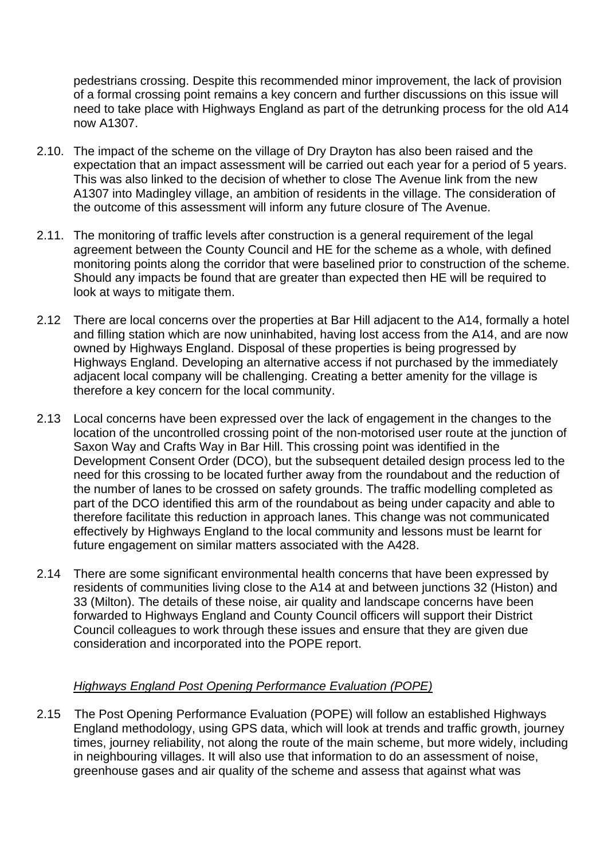pedestrians crossing. Despite this recommended minor improvement, the lack of provision of a formal crossing point remains a key concern and further discussions on this issue will need to take place with Highways England as part of the detrunking process for the old A14 now A1307.

- 2.10. The impact of the scheme on the village of Dry Drayton has also been raised and the expectation that an impact assessment will be carried out each year for a period of 5 years. This was also linked to the decision of whether to close The Avenue link from the new A1307 into Madingley village, an ambition of residents in the village. The consideration of the outcome of this assessment will inform any future closure of The Avenue.
- 2.11. The monitoring of traffic levels after construction is a general requirement of the legal agreement between the County Council and HE for the scheme as a whole, with defined monitoring points along the corridor that were baselined prior to construction of the scheme. Should any impacts be found that are greater than expected then HE will be required to look at ways to mitigate them.
- 2.12 There are local concerns over the properties at Bar Hill adjacent to the A14, formally a hotel and filling station which are now uninhabited, having lost access from the A14, and are now owned by Highways England. Disposal of these properties is being progressed by Highways England. Developing an alternative access if not purchased by the immediately adjacent local company will be challenging. Creating a better amenity for the village is therefore a key concern for the local community.
- 2.13 Local concerns have been expressed over the lack of engagement in the changes to the location of the uncontrolled crossing point of the non-motorised user route at the junction of Saxon Way and Crafts Way in Bar Hill. This crossing point was identified in the Development Consent Order (DCO), but the subsequent detailed design process led to the need for this crossing to be located further away from the roundabout and the reduction of the number of lanes to be crossed on safety grounds. The traffic modelling completed as part of the DCO identified this arm of the roundabout as being under capacity and able to therefore facilitate this reduction in approach lanes. This change was not communicated effectively by Highways England to the local community and lessons must be learnt for future engagement on similar matters associated with the A428.
- 2.14 There are some significant environmental health concerns that have been expressed by residents of communities living close to the A14 at and between junctions 32 (Histon) and 33 (Milton). The details of these noise, air quality and landscape concerns have been forwarded to Highways England and County Council officers will support their District Council colleagues to work through these issues and ensure that they are given due consideration and incorporated into the POPE report.

#### *Highways England Post Opening Performance Evaluation (POPE)*

2.15 The Post Opening Performance Evaluation (POPE) will follow an established Highways England methodology, using GPS data, which will look at trends and traffic growth, journey times, journey reliability, not along the route of the main scheme, but more widely, including in neighbouring villages. It will also use that information to do an assessment of noise, greenhouse gases and air quality of the scheme and assess that against what was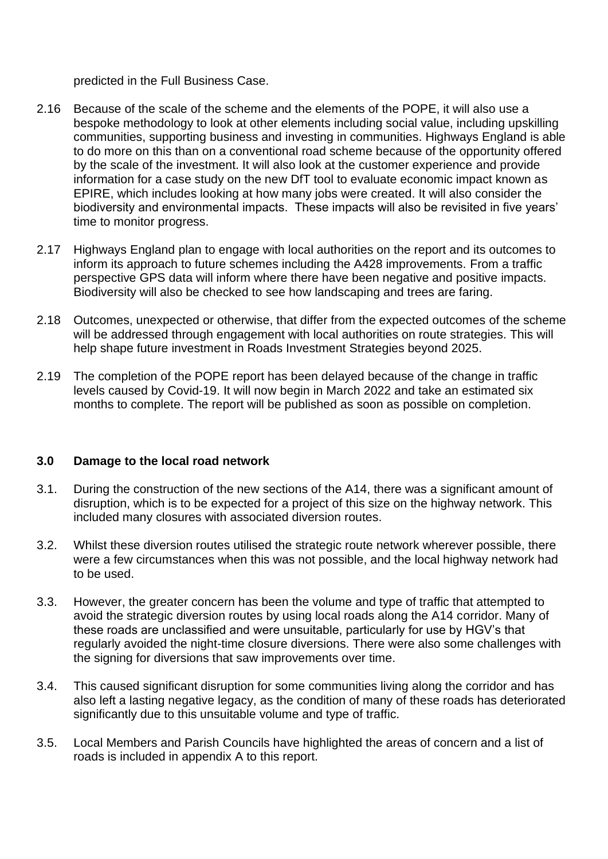predicted in the Full Business Case.

- 2.16 Because of the scale of the scheme and the elements of the POPE, it will also use a bespoke methodology to look at other elements including social value, including upskilling communities, supporting business and investing in communities. Highways England is able to do more on this than on a conventional road scheme because of the opportunity offered by the scale of the investment. It will also look at the customer experience and provide information for a case study on the new DfT tool to evaluate economic impact known as EPIRE, which includes looking at how many jobs were created. It will also consider the biodiversity and environmental impacts. These impacts will also be revisited in five years' time to monitor progress.
- 2.17 Highways England plan to engage with local authorities on the report and its outcomes to inform its approach to future schemes including the A428 improvements. From a traffic perspective GPS data will inform where there have been negative and positive impacts. Biodiversity will also be checked to see how landscaping and trees are faring.
- 2.18 Outcomes, unexpected or otherwise, that differ from the expected outcomes of the scheme will be addressed through engagement with local authorities on route strategies. This will help shape future investment in Roads Investment Strategies beyond 2025.
- 2.19 The completion of the POPE report has been delayed because of the change in traffic levels caused by Covid-19. It will now begin in March 2022 and take an estimated six months to complete. The report will be published as soon as possible on completion.

## **3.0 Damage to the local road network**

- 3.1. During the construction of the new sections of the A14, there was a significant amount of disruption, which is to be expected for a project of this size on the highway network. This included many closures with associated diversion routes.
- 3.2. Whilst these diversion routes utilised the strategic route network wherever possible, there were a few circumstances when this was not possible, and the local highway network had to be used.
- 3.3. However, the greater concern has been the volume and type of traffic that attempted to avoid the strategic diversion routes by using local roads along the A14 corridor. Many of these roads are unclassified and were unsuitable, particularly for use by HGV's that regularly avoided the night-time closure diversions. There were also some challenges with the signing for diversions that saw improvements over time.
- 3.4. This caused significant disruption for some communities living along the corridor and has also left a lasting negative legacy, as the condition of many of these roads has deteriorated significantly due to this unsuitable volume and type of traffic.
- 3.5. Local Members and Parish Councils have highlighted the areas of concern and a list of roads is included in appendix A to this report.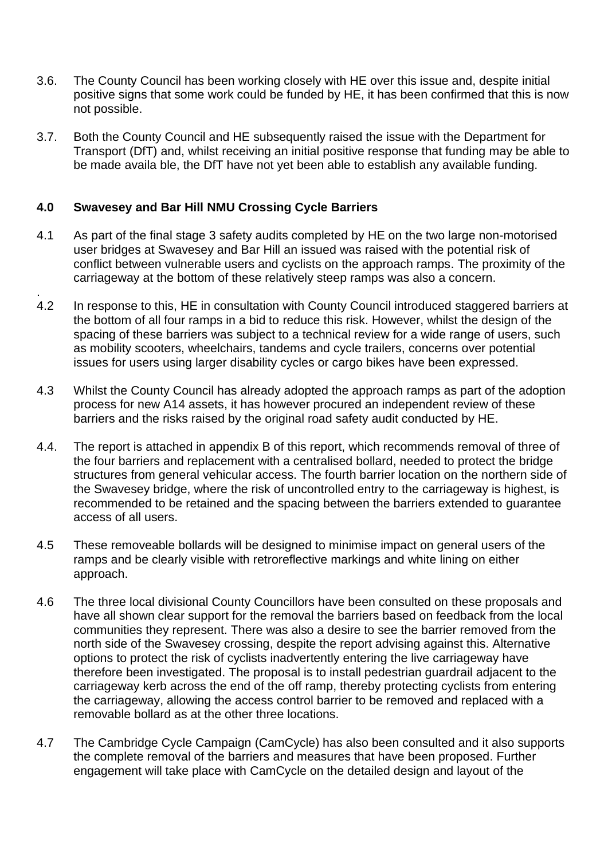- 3.6. The County Council has been working closely with HE over this issue and, despite initial positive signs that some work could be funded by HE, it has been confirmed that this is now not possible.
- 3.7. Both the County Council and HE subsequently raised the issue with the Department for Transport (DfT) and, whilst receiving an initial positive response that funding may be able to be made availa ble, the DfT have not yet been able to establish any available funding.

### **4.0 Swavesey and Bar Hill NMU Crossing Cycle Barriers**

- 4.1 As part of the final stage 3 safety audits completed by HE on the two large non-motorised user bridges at Swavesey and Bar Hill an issued was raised with the potential risk of conflict between vulnerable users and cyclists on the approach ramps. The proximity of the carriageway at the bottom of these relatively steep ramps was also a concern.
- . 4.2 In response to this, HE in consultation with County Council introduced staggered barriers at the bottom of all four ramps in a bid to reduce this risk. However, whilst the design of the spacing of these barriers was subject to a technical review for a wide range of users, such as mobility scooters, wheelchairs, tandems and cycle trailers, concerns over potential issues for users using larger disability cycles or cargo bikes have been expressed.
- 4.3 Whilst the County Council has already adopted the approach ramps as part of the adoption process for new A14 assets, it has however procured an independent review of these barriers and the risks raised by the original road safety audit conducted by HE.
- 4.4. The report is attached in appendix B of this report, which recommends removal of three of the four barriers and replacement with a centralised bollard, needed to protect the bridge structures from general vehicular access. The fourth barrier location on the northern side of the Swavesey bridge, where the risk of uncontrolled entry to the carriageway is highest, is recommended to be retained and the spacing between the barriers extended to guarantee access of all users.
- 4.5 These removeable bollards will be designed to minimise impact on general users of the ramps and be clearly visible with retroreflective markings and white lining on either approach.
- 4.6 The three local divisional County Councillors have been consulted on these proposals and have all shown clear support for the removal the barriers based on feedback from the local communities they represent. There was also a desire to see the barrier removed from the north side of the Swavesey crossing, despite the report advising against this. Alternative options to protect the risk of cyclists inadvertently entering the live carriageway have therefore been investigated. The proposal is to install pedestrian guardrail adjacent to the carriageway kerb across the end of the off ramp, thereby protecting cyclists from entering the carriageway, allowing the access control barrier to be removed and replaced with a removable bollard as at the other three locations.
- 4.7 The Cambridge Cycle Campaign (CamCycle) has also been consulted and it also supports the complete removal of the barriers and measures that have been proposed. Further engagement will take place with CamCycle on the detailed design and layout of the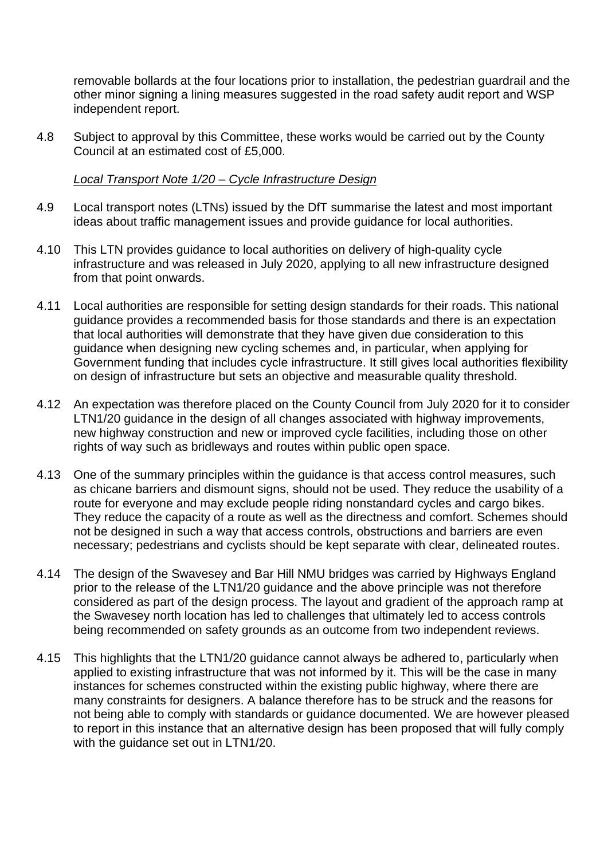removable bollards at the four locations prior to installation, the pedestrian guardrail and the other minor signing a lining measures suggested in the road safety audit report and WSP independent report.

4.8 Subject to approval by this Committee, these works would be carried out by the County Council at an estimated cost of £5,000.

#### *Local Transport Note 1/20 – Cycle Infrastructure Design*

- 4.9 Local transport notes (LTNs) issued by the DfT summarise the latest and most important ideas about traffic management issues and provide guidance for local authorities.
- 4.10 This LTN provides guidance to local authorities on delivery of high-quality cycle infrastructure and was released in July 2020, applying to all new infrastructure designed from that point onwards.
- 4.11 Local authorities are responsible for setting design standards for their roads. This national guidance provides a recommended basis for those standards and there is an expectation that local authorities will demonstrate that they have given due consideration to this guidance when designing new cycling schemes and, in particular, when applying for Government funding that includes cycle infrastructure. It still gives local authorities flexibility on design of infrastructure but sets an objective and measurable quality threshold.
- 4.12 An expectation was therefore placed on the County Council from July 2020 for it to consider LTN1/20 guidance in the design of all changes associated with highway improvements, new highway construction and new or improved cycle facilities, including those on other rights of way such as bridleways and routes within public open space.
- 4.13 One of the summary principles within the guidance is that access control measures, such as chicane barriers and dismount signs, should not be used. They reduce the usability of a route for everyone and may exclude people riding nonstandard cycles and cargo bikes. They reduce the capacity of a route as well as the directness and comfort. Schemes should not be designed in such a way that access controls, obstructions and barriers are even necessary; pedestrians and cyclists should be kept separate with clear, delineated routes.
- 4.14 The design of the Swavesey and Bar Hill NMU bridges was carried by Highways England prior to the release of the LTN1/20 guidance and the above principle was not therefore considered as part of the design process. The layout and gradient of the approach ramp at the Swavesey north location has led to challenges that ultimately led to access controls being recommended on safety grounds as an outcome from two independent reviews.
- 4.15 This highlights that the LTN1/20 guidance cannot always be adhered to, particularly when applied to existing infrastructure that was not informed by it. This will be the case in many instances for schemes constructed within the existing public highway, where there are many constraints for designers. A balance therefore has to be struck and the reasons for not being able to comply with standards or guidance documented. We are however pleased to report in this instance that an alternative design has been proposed that will fully comply with the quidance set out in LTN1/20.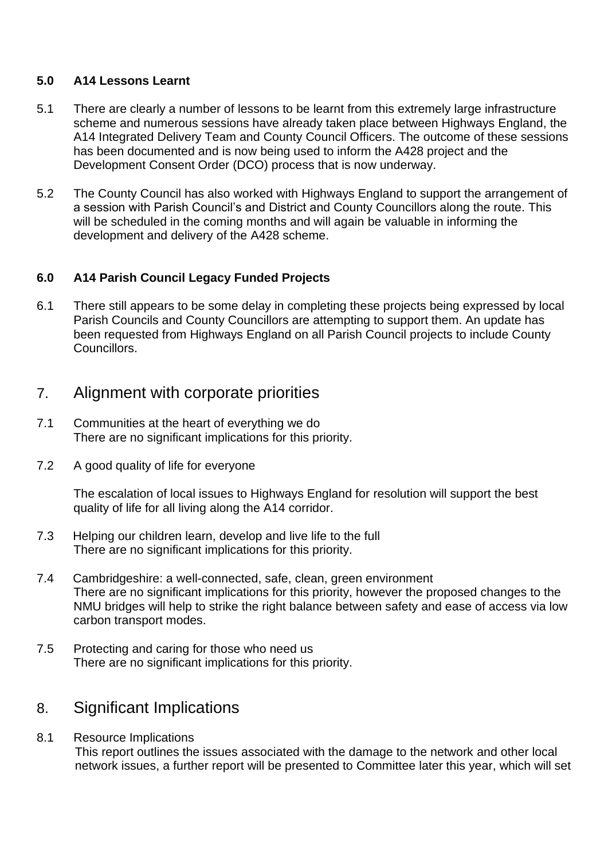### **5.0 A14 Lessons Learnt**

- 5.1 There are clearly a number of lessons to be learnt from this extremely large infrastructure scheme and numerous sessions have already taken place between Highways England, the A14 Integrated Delivery Team and County Council Officers. The outcome of these sessions has been documented and is now being used to inform the A428 project and the Development Consent Order (DCO) process that is now underway.
- 5.2 The County Council has also worked with Highways England to support the arrangement of a session with Parish Council's and District and County Councillors along the route. This will be scheduled in the coming months and will again be valuable in informing the development and delivery of the A428 scheme.

## **6.0 A14 Parish Council Legacy Funded Projects**

6.1 There still appears to be some delay in completing these projects being expressed by local Parish Councils and County Councillors are attempting to support them. An update has been requested from Highways England on all Parish Council projects to include County Councillors.

# 7. Alignment with corporate priorities

- 7.1 Communities at the heart of everything we do There are no significant implications for this priority.
- 7.2 A good quality of life for everyone

The escalation of local issues to Highways England for resolution will support the best quality of life for all living along the A14 corridor.

- 7.3 Helping our children learn, develop and live life to the full There are no significant implications for this priority.
- 7.4 Cambridgeshire: a well-connected, safe, clean, green environment There are no significant implications for this priority, however the proposed changes to the NMU bridges will help to strike the right balance between safety and ease of access via low carbon transport modes.
- 7.5 Protecting and caring for those who need us There are no significant implications for this priority.

# 8. Significant Implications

8.1 Resource Implications This report outlines the issues associated with the damage to the network and other local network issues, a further report will be presented to Committee later this year, which will set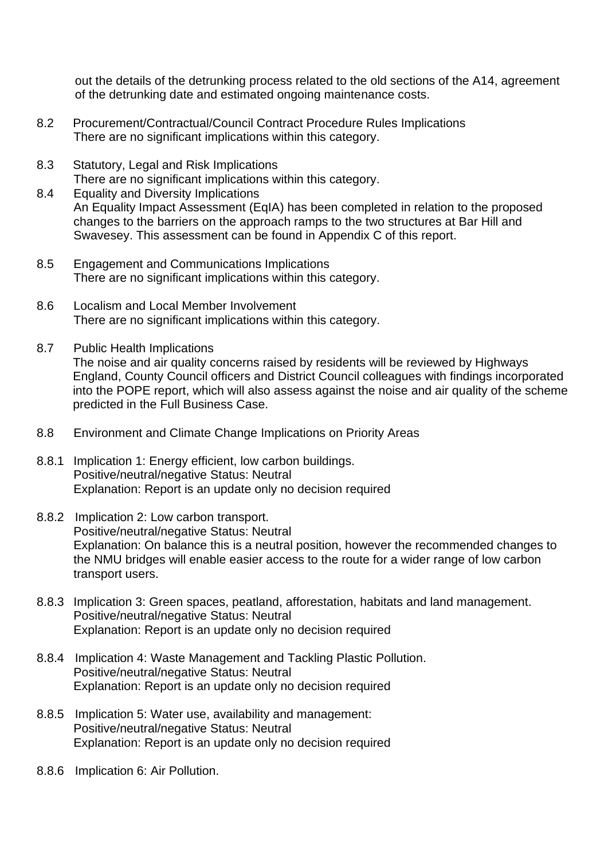out the details of the detrunking process related to the old sections of the A14, agreement of the detrunking date and estimated ongoing maintenance costs.

- 8.2 Procurement/Contractual/Council Contract Procedure Rules Implications There are no significant implications within this category.
- 8.3 Statutory, Legal and Risk Implications There are no significant implications within this category.
- 8.4 Equality and Diversity Implications An Equality Impact Assessment (EqIA) has been completed in relation to the proposed changes to the barriers on the approach ramps to the two structures at Bar Hill and Swavesey. This assessment can be found in Appendix C of this report.
- 8.5 Engagement and Communications Implications There are no significant implications within this category.
- 8.6 Localism and Local Member Involvement There are no significant implications within this category.
- 8.7 Public Health Implications The noise and air quality concerns raised by residents will be reviewed by Highways England, County Council officers and District Council colleagues with findings incorporated into the POPE report, which will also assess against the noise and air quality of the scheme predicted in the Full Business Case.
- 8.8 Environment and Climate Change Implications on Priority Areas
- 8.8.1 Implication 1: Energy efficient, low carbon buildings. Positive/neutral/negative Status: Neutral Explanation: Report is an update only no decision required
- 8.8.2 Implication 2: Low carbon transport. Positive/neutral/negative Status: Neutral Explanation: On balance this is a neutral position, however the recommended changes to the NMU bridges will enable easier access to the route for a wider range of low carbon transport users.
- 8.8.3 Implication 3: Green spaces, peatland, afforestation, habitats and land management. Positive/neutral/negative Status: Neutral Explanation: Report is an update only no decision required
- 8.8.4 Implication 4: Waste Management and Tackling Plastic Pollution. Positive/neutral/negative Status: Neutral Explanation: Report is an update only no decision required
- 8.8.5 Implication 5: Water use, availability and management: Positive/neutral/negative Status: Neutral Explanation: Report is an update only no decision required
- 8.8.6 Implication 6: Air Pollution.